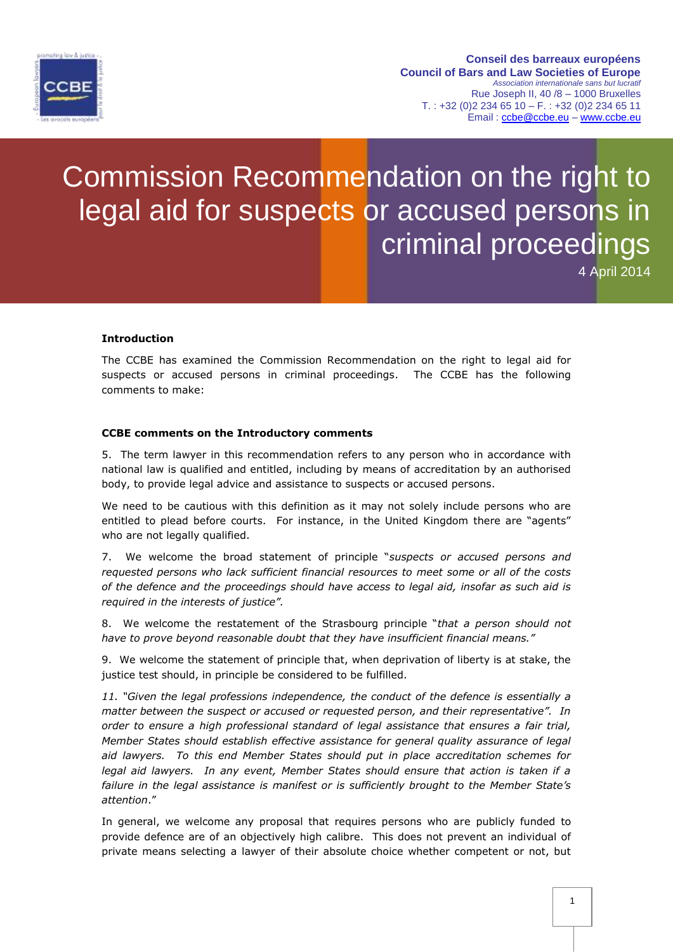

#### **Conseil des barreaux européens Council of Bars and Law Societies of Europe** *Association internationale sans but lucratif* Rue Joseph II, 40 /8 – 1000 Bruxelles  $T. : +32 (0)2 234 65 10 - F. : +32 (0)2 234 65 11$ Email : [ccbe@ccbe.eu](mailto:ccbe@ccbe.eu) – [www.ccbe.eu](http://www.ccbe.eu/)

# Commission Recommendation on the right to legal aid for suspects or accused persons in criminal proceedings

4 April 2014

## **Introduction**

The CCBE has examined the Commission Recommendation on the right to legal aid for suspects or accused persons in criminal proceedings. The CCBE has the following comments to make:

#### **CCBE comments on the Introductory comments**

5. The term lawyer in this recommendation refers to any person who in accordance with national law is qualified and entitled, including by means of accreditation by an authorised body, to provide legal advice and assistance to suspects or accused persons.

We need to be cautious with this definition as it may not solely include persons who are entitled to plead before courts. For instance, in the United Kingdom there are "agents" who are not legally qualified.

7. We welcome the broad statement of principle "*suspects or accused persons and requested persons who lack sufficient financial resources to meet some or all of the costs of the defence and the proceedings should have access to legal aid, insofar as such aid is required in the interests of justice".* 

8. We welcome the restatement of the Strasbourg principle "*that a person should not have to prove beyond reasonable doubt that they have insufficient financial means."*

9. We welcome the statement of principle that, when deprivation of liberty is at stake, the justice test should, in principle be considered to be fulfilled.

*11. "Given the legal professions independence, the conduct of the defence is essentially a matter between the suspect or accused or requested person, and their representative". In order to ensure a high professional standard of legal assistance that ensures a fair trial, Member States should establish effective assistance for general quality assurance of legal aid lawyers. To this end Member States should put in place accreditation schemes for legal aid lawyers. In any event, Member States should ensure that action is taken if a*  failure in the legal assistance is manifest or is sufficiently brought to the Member State's *attention*."

In general, we welcome any proposal that requires persons who are publicly funded to provide defence are of an objectively high calibre. This does not prevent an individual of private means selecting a lawyer of their absolute choice whether competent or not, but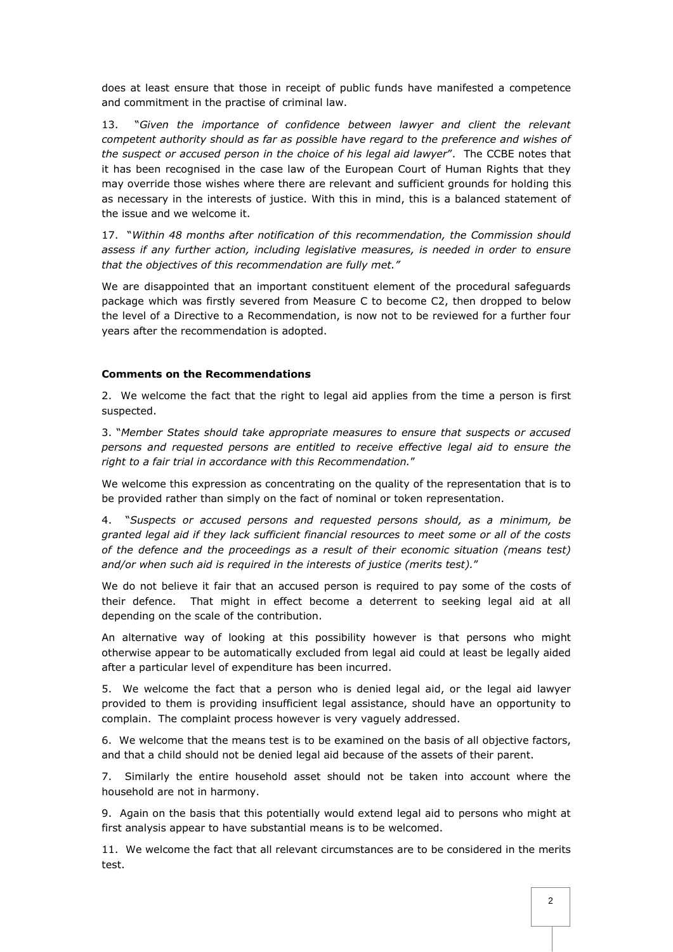does at least ensure that those in receipt of public funds have manifested a competence and commitment in the practise of criminal law.

13. "*Given the importance of confidence between lawyer and client the relevant competent authority should as far as possible have regard to the preference and wishes of the suspect or accused person in the choice of his legal aid lawyer*". The CCBE notes that it has been recognised in the case law of the European Court of Human Rights that they may override those wishes where there are relevant and sufficient grounds for holding this as necessary in the interests of justice. With this in mind, this is a balanced statement of the issue and we welcome it.

17. "*Within 48 months after notification of this recommendation, the Commission should assess if any further action, including legislative measures, is needed in order to ensure that the objectives of this recommendation are fully met."*

We are disappointed that an important constituent element of the procedural safeguards package which was firstly severed from Measure C to become C2, then dropped to below the level of a Directive to a Recommendation, is now not to be reviewed for a further four years after the recommendation is adopted.

## **Comments on the Recommendations**

2. We welcome the fact that the right to legal aid applies from the time a person is first suspected.

3. "*Member States should take appropriate measures to ensure that suspects or accused persons and requested persons are entitled to receive effective legal aid to ensure the right to a fair trial in accordance with this Recommendation.*"

We welcome this expression as concentrating on the quality of the representation that is to be provided rather than simply on the fact of nominal or token representation.

4. "*Suspects or accused persons and requested persons should, as a minimum, be granted legal aid if they lack sufficient financial resources to meet some or all of the costs of the defence and the proceedings as a result of their economic situation (means test) and/or when such aid is required in the interests of justice (merits test).*"

We do not believe it fair that an accused person is required to pay some of the costs of their defence. That might in effect become a deterrent to seeking legal aid at all depending on the scale of the contribution.

An alternative way of looking at this possibility however is that persons who might otherwise appear to be automatically excluded from legal aid could at least be legally aided after a particular level of expenditure has been incurred.

5. We welcome the fact that a person who is denied legal aid, or the legal aid lawyer provided to them is providing insufficient legal assistance, should have an opportunity to complain. The complaint process however is very vaguely addressed.

6. We welcome that the means test is to be examined on the basis of all objective factors, and that a child should not be denied legal aid because of the assets of their parent.

7. Similarly the entire household asset should not be taken into account where the household are not in harmony.

9. Again on the basis that this potentially would extend legal aid to persons who might at first analysis appear to have substantial means is to be welcomed.

11. We welcome the fact that all relevant circumstances are to be considered in the merits test.